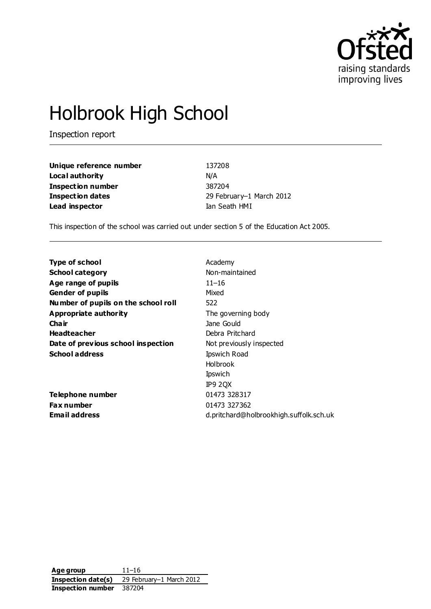

# Holbrook High School

Inspection report

| Unique reference number  | 137208                   |
|--------------------------|--------------------------|
| Local authority          | N/A                      |
| <b>Inspection number</b> | 387204                   |
| <b>Inspection dates</b>  | 29 February-1 March 2012 |
| Lead inspector           | Ian Seath HMI            |

This inspection of the school was carried out under section 5 of the Education Act 2005.

| Academy                                 |
|-----------------------------------------|
| Non-maintained                          |
| $11 - 16$                               |
| Mixed                                   |
| 522                                     |
| The governing body                      |
| Jane Gould                              |
| Debra Pritchard                         |
| Not previously inspected                |
| <b>Ipswich Road</b>                     |
| <b>Holbrook</b>                         |
| Ipswich                                 |
| IP9 2QX                                 |
| 01473 328317                            |
| 01473 327362                            |
| d.pritchard@holbrookhigh.suffolk.sch.uk |
|                                         |

**Age group** 11–16 **Inspection date(s)** 29 February–1 March 2012 **Inspection number** 387204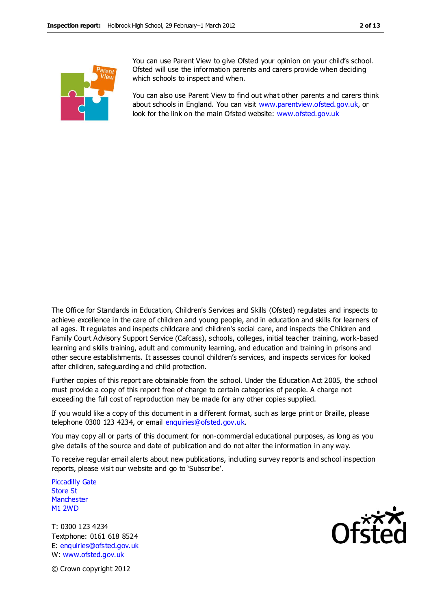

You can use Parent View to give Ofsted your opinion on your child's school. Ofsted will use the information parents and carers provide when deciding which schools to inspect and when.

You can also use Parent View to find out what other parents and carers think about schools in England. You can visit [www.parentview.ofsted.gov.uk,](http://www.parentview.ofsted.gov.uk/) or look for the link on the main Ofsted website: [www.ofsted.gov.uk](http://www.ofsted.gov.uk/)

The Office for Standards in Education, Children's Services and Skills (Ofsted) regulates and inspects to achieve excellence in the care of children and young people, and in education and skills for learners of all ages. It regulates and inspects childcare and children's social care, and inspects the Children and Family Court Advisory Support Service (Cafcass), schools, colleges, initial teacher training, work-based learning and skills training, adult and community learning, and education and training in prisons and other secure establishments. It assesses council children's services, and inspects services for looked after children, safeguarding and child protection.

Further copies of this report are obtainable from the school. Under the Education Act 2005, the school must provide a copy of this report free of charge to certain categories of people. A charge not exceeding the full cost of reproduction may be made for any other copies supplied.

If you would like a copy of this document in a different format, such as large print or Braille, please telephone 0300 123 4234, or email enquiries@ofsted.gov.uk.

You may copy all or parts of this document for non-commercial educational purposes, as long as you give details of the source and date of publication and do not alter the information in any way.

To receive regular email alerts about new publications, including survey reports and school inspection reports, please visit our website and go to 'Subscribe'.

Piccadilly Gate Store St **Manchester** M1 2WD

T: 0300 123 4234 Textphone: 0161 618 8524 E: enquiries@ofsted.gov.uk W: www.ofsted.gov.uk



© Crown copyright 2012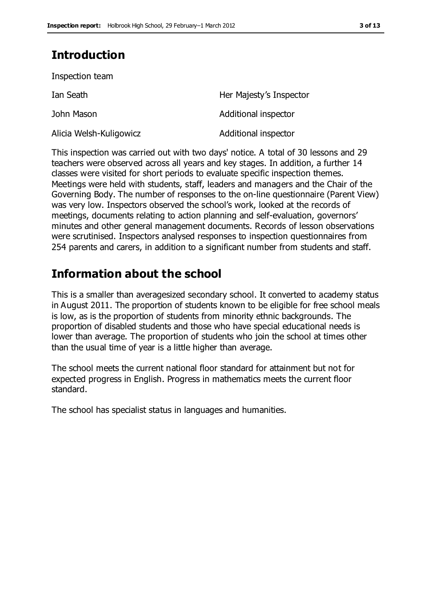# **Introduction**

Inspection team

| Ian Seath               | Her Majesty's Inspector |
|-------------------------|-------------------------|
| John Mason              | Additional inspector    |
| Alicia Welsh-Kuligowicz | Additional inspector    |

This inspection was carried out with two days' notice. A total of 30 lessons and 29 teachers were observed across all years and key stages. In addition, a further 14 classes were visited for short periods to evaluate specific inspection themes. Meetings were held with students, staff, leaders and managers and the Chair of the Governing Body. The number of responses to the on-line questionnaire (Parent View) was very low. Inspectors observed the school's work, looked at the records of meetings, documents relating to action planning and self-evaluation, governors' minutes and other general management documents. Records of lesson observations were scrutinised. Inspectors analysed responses to inspection questionnaires from 254 parents and carers, in addition to a significant number from students and staff.

# **Information about the school**

This is a smaller than averagesized secondary school. It converted to academy status in August 2011. The proportion of students known to be eligible for free school meals is low, as is the proportion of students from minority ethnic backgrounds. The proportion of disabled students and those who have special educational needs is lower than average. The proportion of students who join the school at times other than the usual time of year is a little higher than average.

The school meets the current national floor standard for attainment but not for expected progress in English. Progress in mathematics meets the current floor standard.

The school has specialist status in languages and humanities.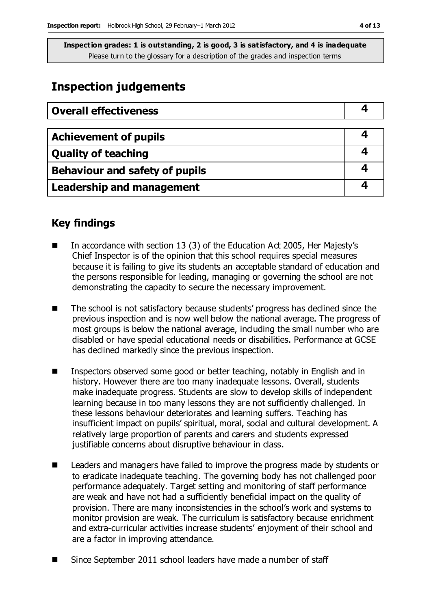# **Inspection judgements**

| <b>Overall effectiveness</b>          |  |
|---------------------------------------|--|
|                                       |  |
| <b>Achievement of pupils</b>          |  |
| <b>Quality of teaching</b>            |  |
| <b>Behaviour and safety of pupils</b> |  |
| <b>Leadership and management</b>      |  |

### **Key findings**

- In accordance with section 13 (3) of the Education Act 2005, Her Majesty's Chief Inspector is of the opinion that this school requires special measures because it is failing to give its students an acceptable standard of education and the persons responsible for leading, managing or governing the school are not demonstrating the capacity to secure the necessary improvement.
- The school is not satisfactory because students' progress has declined since the previous inspection and is now well below the national average. The progress of most groups is below the national average, including the small number who are disabled or have special educational needs or disabilities. Performance at GCSE has declined markedly since the previous inspection.
- Inspectors observed some good or better teaching, notably in English and in history. However there are too many inadequate lessons. Overall, students make inadequate progress. Students are slow to develop skills of independent learning because in too many lessons they are not sufficiently challenged. In these lessons behaviour deteriorates and learning suffers. Teaching has insufficient impact on pupils' spiritual, moral, social and cultural development. A relatively large proportion of parents and carers and students expressed justifiable concerns about disruptive behaviour in class.
- Leaders and managers have failed to improve the progress made by students or to eradicate inadequate teaching. The governing body has not challenged poor performance adequately. Target setting and monitoring of staff performance are weak and have not had a sufficiently beneficial impact on the quality of provision. There are many inconsistencies in the school's work and systems to monitor provision are weak. The curriculum is satisfactory because enrichment and extra-curricular activities increase students' enjoyment of their school and are a factor in improving attendance.
- Since September 2011 school leaders have made a number of staff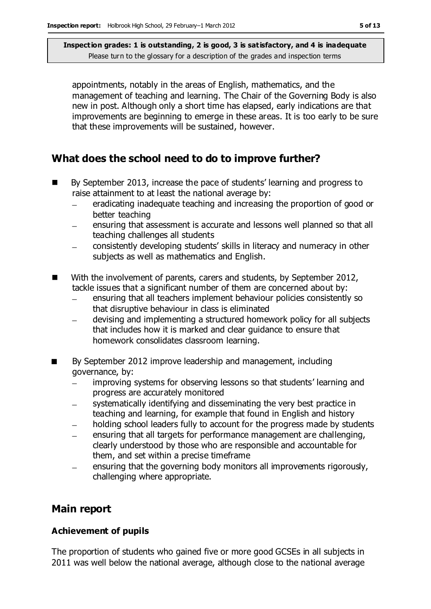appointments, notably in the areas of English, mathematics, and the management of teaching and learning. The Chair of the Governing Body is also new in post. Although only a short time has elapsed, early indications are that improvements are beginning to emerge in these areas. It is too early to be sure that these improvements will be sustained, however.

## **What does the school need to do to improve further?**

- By September 2013, increase the pace of students' learning and progress to raise attainment to at least the national average by:
	- eradicating inadequate teaching and increasing the proportion of good or  $\equiv$ better teaching
	- ensuring that assessment is accurate and lessons well planned so that all  $\equiv$ teaching challenges all students
	- consistently developing students' skills in literacy and numeracy in other subjects as well as mathematics and English.
- With the involvement of parents, carers and students, by September 2012, tackle issues that a significant number of them are concerned about by:
	- ensuring that all teachers implement behaviour policies consistently so  $\equiv$ that disruptive behaviour in class is eliminated
	- devising and implementing a structured homework policy for all subjects that includes how it is marked and clear guidance to ensure that homework consolidates classroom learning.
- By September 2012 improve leadership and management, including governance, by:
	- improving systems for observing lessons so that students' learning and  $\equiv$ progress are accurately monitored
	- systematically identifying and disseminating the very best practice in teaching and learning, for example that found in English and history
	- holding school leaders fully to account for the progress made by students
	- ensuring that all targets for performance management are challenging,  $\overline{\phantom{0}}$ clearly understood by those who are responsible and accountable for them, and set within a precise timeframe
	- ensuring that the governing body monitors all improvements rigorously, challenging where appropriate.

## **Main report**

#### **Achievement of pupils**

The proportion of students who gained five or more good GCSEs in all subjects in 2011 was well below the national average, although close to the national average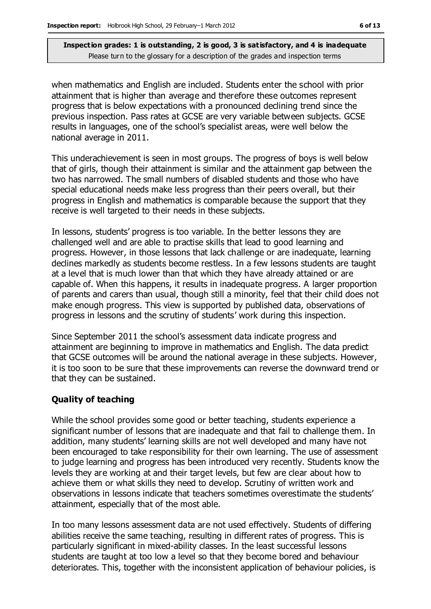when mathematics and English are included. Students enter the school with prior attainment that is higher than average and therefore these outcomes represent progress that is below expectations with a pronounced declining trend since the previous inspection. Pass rates at GCSE are very variable between subjects. GCSE results in languages, one of the school's specialist areas, were well below the national average in 2011.

This underachievement is seen in most groups. The progress of boys is well below that of girls, though their attainment is similar and the attainment gap between the two has narrowed. The small numbers of disabled students and those who have special educational needs make less progress than their peers overall, but their progress in English and mathematics is comparable because the support that they receive is well targeted to their needs in these subjects.

In lessons, students' progress is too variable. In the better lessons they are challenged well and are able to practise skills that lead to good learning and progress. However, in those lessons that lack challenge or are inadequate, learning declines markedly as students become restless. In a few lessons students are taught at a level that is much lower than that which they have already attained or are capable of. When this happens, it results in inadequate progress. A larger proportion of parents and carers than usual, though still a minority, feel that their child does not make enough progress. This view is supported by published data, observations of progress in lessons and the scrutiny of students' work during this inspection.

Since September 2011 the school's assessment data indicate progress and attainment are beginning to improve in mathematics and English. The data predict that GCSE outcomes will be around the national average in these subjects. However, it is too soon to be sure that these improvements can reverse the downward trend or that they can be sustained.

#### **Quality of teaching**

While the school provides some good or better teaching, students experience a significant number of lessons that are inadequate and that fail to challenge them. In addition, many students' learning skills are not well developed and many have not been encouraged to take responsibility for their own learning. The use of assessment to judge learning and progress has been introduced very recently. Students know the levels they are working at and their target levels, but few are clear about how to achieve them or what skills they need to develop. Scrutiny of written work and observations in lessons indicate that teachers sometimes overestimate the students' attainment, especially that of the most able.

In too many lessons assessment data are not used effectively. Students of differing abilities receive the same teaching, resulting in different rates of progress. This is particularly significant in mixed-ability classes. In the least successful lessons students are taught at too low a level so that they become bored and behaviour deteriorates. This, together with the inconsistent application of behaviour policies, is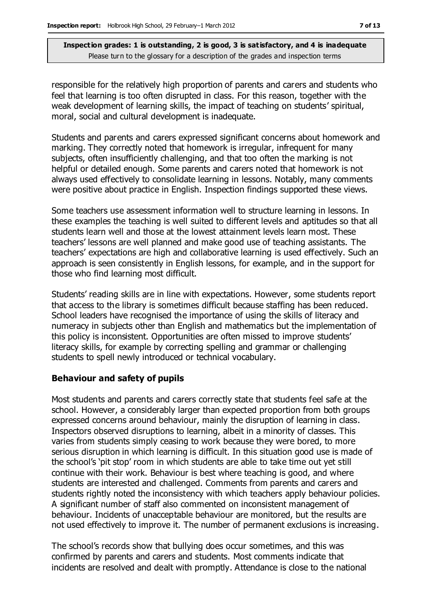responsible for the relatively high proportion of parents and carers and students who feel that learning is too often disrupted in class. For this reason, together with the weak development of learning skills, the impact of teaching on students' spiritual, moral, social and cultural development is inadequate.

Students and parents and carers expressed significant concerns about homework and marking. They correctly noted that homework is irregular, infrequent for many subjects, often insufficiently challenging, and that too often the marking is not helpful or detailed enough. Some parents and carers noted that homework is not always used effectively to consolidate learning in lessons. Notably, many comments were positive about practice in English. Inspection findings supported these views.

Some teachers use assessment information well to structure learning in lessons. In these examples the teaching is well suited to different levels and aptitudes so that all students learn well and those at the lowest attainment levels learn most. These teachers' lessons are well planned and make good use of teaching assistants. The teachers' expectations are high and collaborative learning is used effectively. Such an approach is seen consistently in English lessons, for example, and in the support for those who find learning most difficult.

Students' reading skills are in line with expectations. However, some students report that access to the library is sometimes difficult because staffing has been reduced. School leaders have recognised the importance of using the skills of literacy and numeracy in subjects other than English and mathematics but the implementation of this policy is inconsistent. Opportunities are often missed to improve students' literacy skills, for example by correcting spelling and grammar or challenging students to spell newly introduced or technical vocabulary.

#### **Behaviour and safety of pupils**

Most students and parents and carers correctly state that students feel safe at the school. However, a considerably larger than expected proportion from both groups expressed concerns around behaviour, mainly the disruption of learning in class. Inspectors observed disruptions to learning, albeit in a minority of classes. This varies from students simply ceasing to work because they were bored, to more serious disruption in which learning is difficult. In this situation good use is made of the school's 'pit stop' room in which students are able to take time out yet still continue with their work. Behaviour is best where teaching is good, and where students are interested and challenged. Comments from parents and carers and students rightly noted the inconsistency with which teachers apply behaviour policies. A significant number of staff also commented on inconsistent management of behaviour. Incidents of unacceptable behaviour are monitored, but the results are not used effectively to improve it. The number of permanent exclusions is increasing.

The school's records show that bullying does occur sometimes, and this was confirmed by parents and carers and students. Most comments indicate that incidents are resolved and dealt with promptly. Attendance is close to the national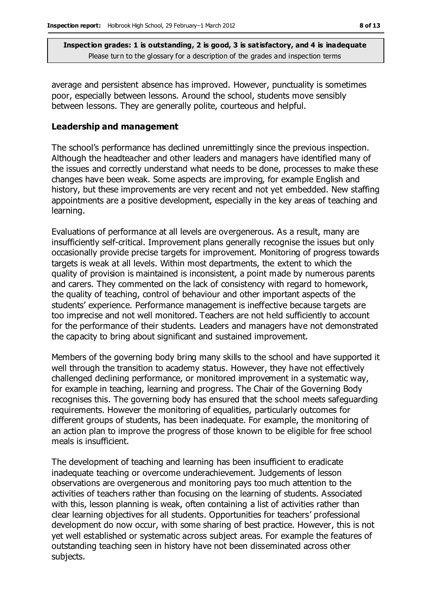average and persistent absence has improved. However, punctuality is sometimes poor, especially between lessons. Around the school, students move sensibly between lessons. They are generally polite, courteous and helpful.

#### **Leadership and management**

The school's performance has declined unremittingly since the previous inspection. Although the headteacher and other leaders and managers have identified many of the issues and correctly understand what needs to be done, processes to make these changes have been weak. Some aspects are improving, for example English and history, but these improvements are very recent and not yet embedded. New staffing appointments are a positive development, especially in the key areas of teaching and learning.

Evaluations of performance at all levels are overgenerous. As a result, many are insufficiently self-critical. Improvement plans generally recognise the issues but only occasionally provide precise targets for improvement. Monitoring of progress towards targets is weak at all levels. Within most departments, the extent to which the quality of provision is maintained is inconsistent, a point made by numerous parents and carers. They commented on the lack of consistency with regard to homework, the quality of teaching, control of behaviour and other important aspects of the students' experience. Performance management is ineffective because targets are too imprecise and not well monitored. Teachers are not held sufficiently to account for the performance of their students. Leaders and managers have not demonstrated the capacity to bring about significant and sustained improvement.

Members of the governing body bring many skills to the school and have supported it well through the transition to academy status. However, they have not effectively challenged declining performance, or monitored improvement in a systematic way, for example in teaching, learning and progress. The Chair of the Governing Body recognises this. The governing body has ensured that the school meets safeguarding requirements. However the monitoring of equalities, particularly outcomes for different groups of students, has been inadequate. For example, the monitoring of an action plan to improve the progress of those known to be eligible for free school meals is insufficient.

The development of teaching and learning has been insufficient to eradicate inadequate teaching or overcome underachievement. Judgements of lesson observations are overgenerous and monitoring pays too much attention to the activities of teachers rather than focusing on the learning of students. Associated with this, lesson planning is weak, often containing a list of activities rather than clear learning objectives for all students. Opportunities for teachers' professional development do now occur, with some sharing of best practice. However, this is not yet well established or systematic across subject areas. For example the features of outstanding teaching seen in history have not been disseminated across other subjects.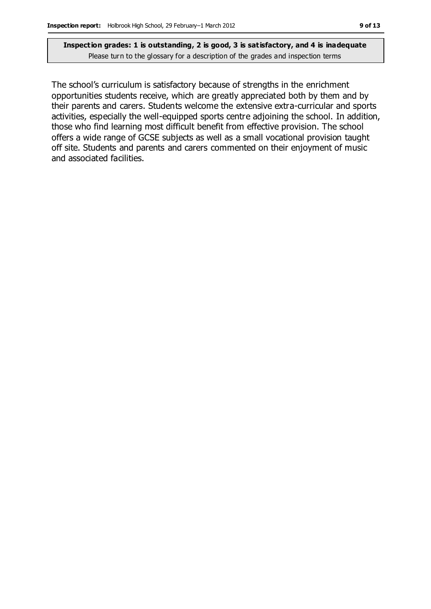The school's curriculum is satisfactory because of strengths in the enrichment opportunities students receive, which are greatly appreciated both by them and by their parents and carers. Students welcome the extensive extra-curricular and sports activities, especially the well-equipped sports centre adjoining the school. In addition, those who find learning most difficult benefit from effective provision. The school offers a wide range of GCSE subjects as well as a small vocational provision taught off site. Students and parents and carers commented on their enjoyment of music and associated facilities.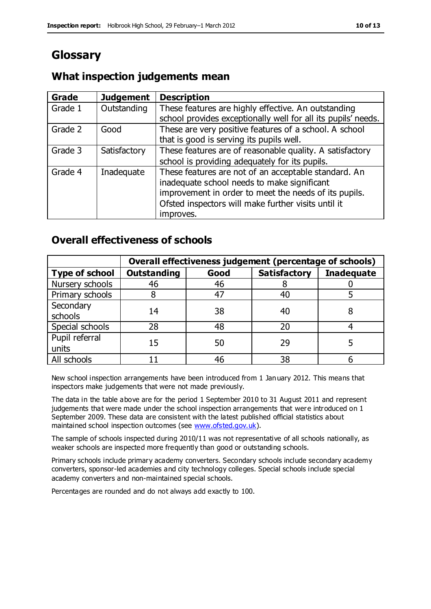# **Glossary**

## **What inspection judgements mean**

| <b>Grade</b> | <b>Judgement</b> | <b>Description</b>                                            |
|--------------|------------------|---------------------------------------------------------------|
| Grade 1      | Outstanding      | These features are highly effective. An outstanding           |
|              |                  | school provides exceptionally well for all its pupils' needs. |
| Grade 2      | Good             | These are very positive features of a school. A school        |
|              |                  | that is good is serving its pupils well.                      |
| Grade 3      | Satisfactory     | These features are of reasonable quality. A satisfactory      |
|              |                  | school is providing adequately for its pupils.                |
| Grade 4      | Inadequate       | These features are not of an acceptable standard. An          |
|              |                  | inadequate school needs to make significant                   |
|              |                  | improvement in order to meet the needs of its pupils.         |
|              |                  | Ofsted inspectors will make further visits until it           |
|              |                  | improves.                                                     |

## **Overall effectiveness of schools**

|                         | Overall effectiveness judgement (percentage of schools) |      |                     |                   |
|-------------------------|---------------------------------------------------------|------|---------------------|-------------------|
| <b>Type of school</b>   | <b>Outstanding</b>                                      | Good | <b>Satisfactory</b> | <b>Inadequate</b> |
| Nursery schools         | 46                                                      | 46   |                     |                   |
| Primary schools         |                                                         | 47   | 40                  |                   |
| Secondary<br>schools    | 14                                                      | 38   | 40                  |                   |
| Special schools         | 28                                                      | 48   | 20                  |                   |
| Pupil referral<br>units | 15                                                      | 50   | 29                  |                   |
| All schools             |                                                         | 46   | 38                  |                   |

New school inspection arrangements have been introduced from 1 January 2012. This means that inspectors make judgements that were not made previously.

The data in the table above are for the period 1 September 2010 to 31 August 2011 and represent judgements that were made under the school inspection arrangements that were introduced on 1 September 2009. These data are consistent with the latest published official statistics about maintained school inspection outcomes (see [www.ofsted.gov.uk\)](http://www.ofsted.gov.uk/).

The sample of schools inspected during 2010/11 was not representative of all schools nationally, as weaker schools are inspected more frequently than good or outstanding schools.

Primary schools include primary academy converters. Secondary schools include secondary academy converters, sponsor-led academies and city technology colleges. Special schools include special academy converters and non-maintained special schools.

Percentages are rounded and do not always add exactly to 100.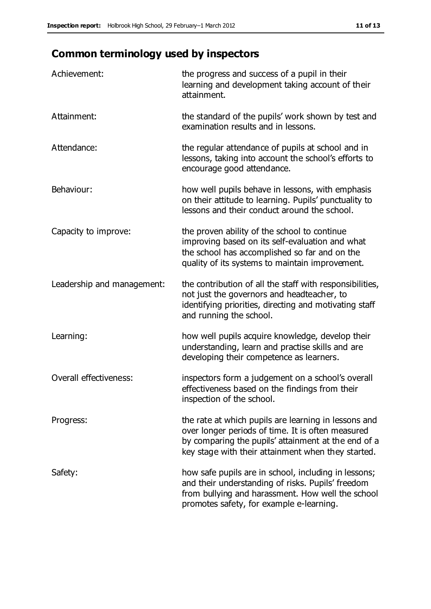# **Common terminology used by inspectors**

| Achievement:                  | the progress and success of a pupil in their<br>learning and development taking account of their<br>attainment.                                                                                                        |
|-------------------------------|------------------------------------------------------------------------------------------------------------------------------------------------------------------------------------------------------------------------|
| Attainment:                   | the standard of the pupils' work shown by test and<br>examination results and in lessons.                                                                                                                              |
| Attendance:                   | the regular attendance of pupils at school and in<br>lessons, taking into account the school's efforts to<br>encourage good attendance.                                                                                |
| Behaviour:                    | how well pupils behave in lessons, with emphasis<br>on their attitude to learning. Pupils' punctuality to<br>lessons and their conduct around the school.                                                              |
| Capacity to improve:          | the proven ability of the school to continue<br>improving based on its self-evaluation and what<br>the school has accomplished so far and on the<br>quality of its systems to maintain improvement.                    |
| Leadership and management:    | the contribution of all the staff with responsibilities,<br>not just the governors and headteacher, to<br>identifying priorities, directing and motivating staff<br>and running the school.                            |
| Learning:                     | how well pupils acquire knowledge, develop their<br>understanding, learn and practise skills and are<br>developing their competence as learners.                                                                       |
| <b>Overall effectiveness:</b> | inspectors form a judgement on a school's overall<br>effectiveness based on the findings from their<br>inspection of the school.                                                                                       |
| Progress:                     | the rate at which pupils are learning in lessons and<br>over longer periods of time. It is often measured<br>by comparing the pupils' attainment at the end of a<br>key stage with their attainment when they started. |
| Safety:                       | how safe pupils are in school, including in lessons;<br>and their understanding of risks. Pupils' freedom<br>from bullying and harassment. How well the school<br>promotes safety, for example e-learning.             |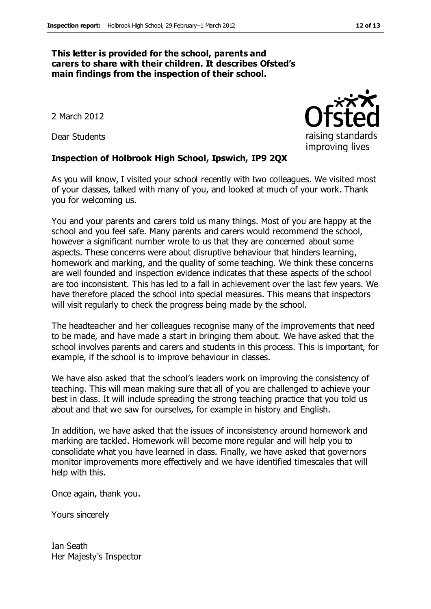#### **This letter is provided for the school, parents and carers to share with their children. It describes Ofsted's main findings from the inspection of their school.**

2 March 2012

Dear Students

#### **Inspection of Holbrook High School, Ipswich, IP9 2QX**

As you will know, I visited your school recently with two colleagues. We visited most of your classes, talked with many of you, and looked at much of your work. Thank you for welcoming us.

You and your parents and carers told us many things. Most of you are happy at the school and you feel safe. Many parents and carers would recommend the school, however a significant number wrote to us that they are concerned about some aspects. These concerns were about disruptive behaviour that hinders learning, homework and marking, and the quality of some teaching. We think these concerns are well founded and inspection evidence indicates that these aspects of the school are too inconsistent. This has led to a fall in achievement over the last few years. We have therefore placed the school into special measures. This means that inspectors will visit regularly to check the progress being made by the school.

The headteacher and her colleagues recognise many of the improvements that need to be made, and have made a start in bringing them about. We have asked that the school involves parents and carers and students in this process. This is important, for example, if the school is to improve behaviour in classes.

We have also asked that the school's leaders work on improving the consistency of teaching. This will mean making sure that all of you are challenged to achieve your best in class. It will include spreading the strong teaching practice that you told us about and that we saw for ourselves, for example in history and English.

In addition, we have asked that the issues of inconsistency around homework and marking are tackled. Homework will become more regular and will help you to consolidate what you have learned in class. Finally, we have asked that governors monitor improvements more effectively and we have identified timescales that will help with this.

Once again, thank you.

Yours sincerely

Ian Seath Her Majesty's Inspector